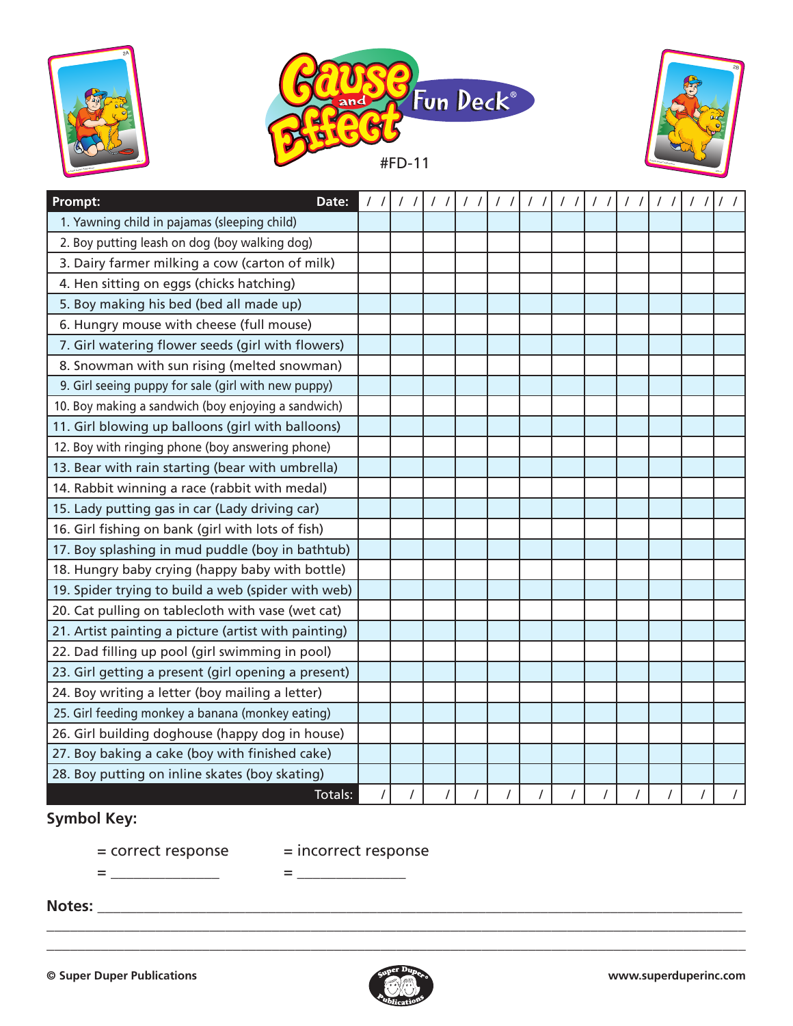





| Prompt:<br>Date:                                     | 11 | 1 | 11 | $\frac{1}{2}$ | 1111 | 1111 | $\frac{1}{2}$ | 11 | $\frac{1}{2}$ |  |
|------------------------------------------------------|----|---|----|---------------|------|------|---------------|----|---------------|--|
| 1. Yawning child in pajamas (sleeping child)         |    |   |    |               |      |      |               |    |               |  |
| 2. Boy putting leash on dog (boy walking dog)        |    |   |    |               |      |      |               |    |               |  |
| 3. Dairy farmer milking a cow (carton of milk)       |    |   |    |               |      |      |               |    |               |  |
| 4. Hen sitting on eggs (chicks hatching)             |    |   |    |               |      |      |               |    |               |  |
| 5. Boy making his bed (bed all made up)              |    |   |    |               |      |      |               |    |               |  |
| 6. Hungry mouse with cheese (full mouse)             |    |   |    |               |      |      |               |    |               |  |
| 7. Girl watering flower seeds (girl with flowers)    |    |   |    |               |      |      |               |    |               |  |
| 8. Snowman with sun rising (melted snowman)          |    |   |    |               |      |      |               |    |               |  |
| 9. Girl seeing puppy for sale (girl with new puppy)  |    |   |    |               |      |      |               |    |               |  |
| 10. Boy making a sandwich (boy enjoying a sandwich)  |    |   |    |               |      |      |               |    |               |  |
| 11. Girl blowing up balloons (girl with balloons)    |    |   |    |               |      |      |               |    |               |  |
| 12. Boy with ringing phone (boy answering phone)     |    |   |    |               |      |      |               |    |               |  |
| 13. Bear with rain starting (bear with umbrella)     |    |   |    |               |      |      |               |    |               |  |
| 14. Rabbit winning a race (rabbit with medal)        |    |   |    |               |      |      |               |    |               |  |
| 15. Lady putting gas in car (Lady driving car)       |    |   |    |               |      |      |               |    |               |  |
| 16. Girl fishing on bank (girl with lots of fish)    |    |   |    |               |      |      |               |    |               |  |
| 17. Boy splashing in mud puddle (boy in bathtub)     |    |   |    |               |      |      |               |    |               |  |
| 18. Hungry baby crying (happy baby with bottle)      |    |   |    |               |      |      |               |    |               |  |
| 19. Spider trying to build a web (spider with web)   |    |   |    |               |      |      |               |    |               |  |
| 20. Cat pulling on tablecloth with vase (wet cat)    |    |   |    |               |      |      |               |    |               |  |
| 21. Artist painting a picture (artist with painting) |    |   |    |               |      |      |               |    |               |  |
| 22. Dad filling up pool (girl swimming in pool)      |    |   |    |               |      |      |               |    |               |  |
| 23. Girl getting a present (girl opening a present)  |    |   |    |               |      |      |               |    |               |  |
| 24. Boy writing a letter (boy mailing a letter)      |    |   |    |               |      |      |               |    |               |  |
| 25. Girl feeding monkey a banana (monkey eating)     |    |   |    |               |      |      |               |    |               |  |
| 26. Girl building doghouse (happy dog in house)      |    |   |    |               |      |      |               |    |               |  |
| 27. Boy baking a cake (boy with finished cake)       |    |   |    |               |      |      |               |    |               |  |
| 28. Boy putting on inline skates (boy skating)       |    |   |    |               |      |      |               |    |               |  |
| Totals:                                              |    |   |    |               |      |      |               |    |               |  |

## **Symbol Key:**

 $=$   $\frac{1}{2}$   $\frac{1}{2}$   $\frac{1}{2}$   $\frac{1}{2}$   $\frac{1}{2}$   $\frac{1}{2}$   $\frac{1}{2}$   $\frac{1}{2}$   $\frac{1}{2}$   $\frac{1}{2}$   $\frac{1}{2}$   $\frac{1}{2}$   $\frac{1}{2}$   $\frac{1}{2}$   $\frac{1}{2}$   $\frac{1}{2}$   $\frac{1}{2}$   $\frac{1}{2}$   $\frac{1}{2}$   $\frac{1}{2}$   $\frac{1}{2}$   $\frac{1}{2$ 

= correct response = incorrect response

**Notes:** \_\_\_\_\_\_\_\_\_\_\_\_\_\_\_\_\_\_\_\_\_\_\_\_\_\_\_\_\_\_\_\_\_\_\_\_\_\_\_\_\_\_\_\_\_\_\_\_\_\_\_\_\_\_\_\_\_\_\_\_\_\_\_\_\_\_\_\_\_\_\_\_\_\_\_\_\_\_\_\_\_\_\_



\_\_\_\_\_\_\_\_\_\_\_\_\_\_\_\_\_\_\_\_\_\_\_\_\_\_\_\_\_\_\_\_\_\_\_\_\_\_\_\_\_\_\_\_\_\_\_\_\_\_\_\_\_\_\_\_\_\_\_\_\_\_\_\_\_\_\_\_\_\_\_\_\_\_\_\_\_\_\_\_\_\_\_\_\_\_\_\_\_\_ \_\_\_\_\_\_\_\_\_\_\_\_\_\_\_\_\_\_\_\_\_\_\_\_\_\_\_\_\_\_\_\_\_\_\_\_\_\_\_\_\_\_\_\_\_\_\_\_\_\_\_\_\_\_\_\_\_\_\_\_\_\_\_\_\_\_\_\_\_\_\_\_\_\_\_\_\_\_\_\_\_\_\_\_\_\_\_\_\_\_